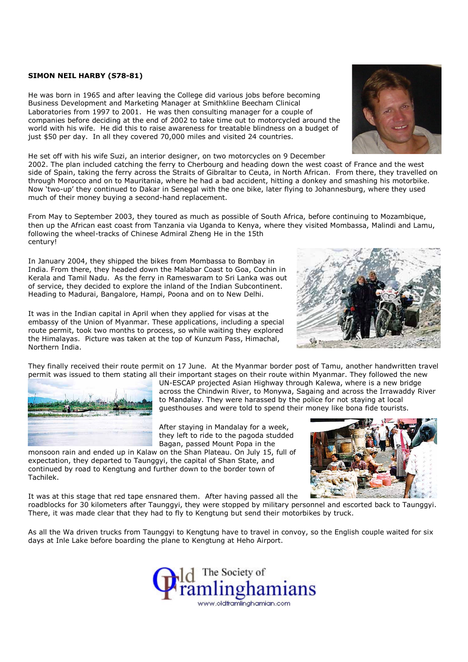## SIMON NEIL HARBY (S78-81)

He was born in 1965 and after leaving the College did various jobs before becoming Business Development and Marketing Manager at Smithkline Beecham Clinical Laboratories from 1997 to 2001. He was then consulting manager for a couple of companies before deciding at the end of 2002 to take time out to motorcycled around the world with his wife. He did this to raise awareness for treatable blindness on a budget of just \$50 per day. In all they covered 70,000 miles and visited 24 countries.

He set off with his wife Suzi, an interior designer, on two motorcycles on 9 December

2002. The plan included catching the ferry to Cherbourg and heading down the west coast of France and the west side of Spain, taking the ferry across the Straits of Gibraltar to Ceuta, in North African. From there, they travelled on through Morocco and on to Mauritania, where he had a bad accident, hitting a donkey and smashing his motorbike. Now 'two-up' they continued to Dakar in Senegal with the one bike, later flying to Johannesburg, where they used much of their money buying a second-hand replacement.

From May to September 2003, they toured as much as possible of South Africa, before continuing to Mozambique, then up the African east coast from Tanzania via Uganda to Kenya, where they visited Mombassa, Malindi and Lamu, following the wheel-tracks of Chinese Admiral Zheng He in the 15th century!

In January 2004, they shipped the bikes from Mombassa to Bombay in India. From there, they headed down the Malabar Coast to Goa, Cochin in Kerala and Tamil Nadu. As the ferry in Rameswaram to Sri Lanka was out of service, they decided to explore the inland of the Indian Subcontinent. Heading to Madurai, Bangalore, Hampi, Poona and on to New Delhi.

It was in the Indian capital in April when they applied for visas at the embassy of the Union of Myanmar. These applications, including a special route permit, took two months to process, so while waiting they explored the Himalayas. Picture was taken at the top of Kunzum Pass, Himachal, Northern India.

They finally received their route permit on 17 June. At the Myanmar border post of Tamu, another handwritten travel permit was issued to them stating all their important stages on their route within Myanmar. They followed the new

UN-ESCAP projected Asian Highway through Kalewa, where is a new bridge across the Chindwin River, to Monywa, Sagaing and across the Irrawaddy River to Mandalay. They were harassed by the police for not staying at local guesthouses and were told to spend their money like bona fide tourists.

After staying in Mandalay for a week, they left to ride to the pagoda studded Bagan, passed Mount Popa in the

monsoon rain and ended up in Kalaw on the Shan Plateau. On July 15, full of expectation, they departed to Taunggyi, the capital of Shan State, and continued by road to Kengtung and further down to the border town of Tachilek.

It was at this stage that red tape ensnared them. After having passed all the roadblocks for 30 kilometers after Taunggyi, they were stopped by military personnel and escorted back to Taunggyi. There, it was made clear that they had to fly to Kengtung but send their motorbikes by truck.

As all the Wa driven trucks from Taunggyi to Kengtung have to travel in convoy, so the English couple waited for six days at Inle Lake before boarding the plane to Kengtung at Heho Airport.







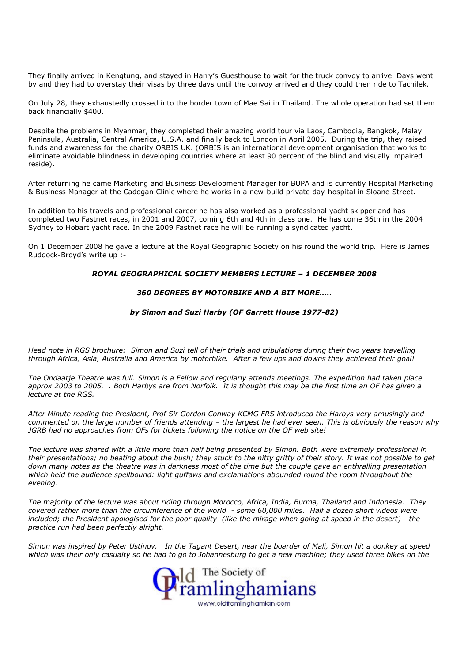They finally arrived in Kengtung, and stayed in Harry's Guesthouse to wait for the truck convoy to arrive. Days went by and they had to overstay their visas by three days until the convoy arrived and they could then ride to Tachilek.

On July 28, they exhaustedly crossed into the border town of Mae Sai in Thailand. The whole operation had set them back financially \$400.

Despite the problems in Myanmar, they completed their amazing world tour via Laos, Cambodia, Bangkok, Malay Peninsula, Australia, Central America, U.S.A. and finally back to London in April 2005. During the trip, they raised funds and awareness for the charity ORBIS UK. (ORBIS is an international development organisation that works to eliminate avoidable blindness in developing countries where at least 90 percent of the blind and visually impaired reside).

After returning he came Marketing and Business Development Manager for BUPA and is currently Hospital Marketing & Business Manager at the Cadogan Clinic where he works in a new-build private day-hospital in Sloane Street.

In addition to his travels and professional career he has also worked as a professional yacht skipper and has completed two Fastnet races, in 2001 and 2007, coming 6th and 4th in class one. He has come 36th in the 2004 Sydney to Hobart yacht race. In the 2009 Fastnet race he will be running a syndicated yacht.

On 1 December 2008 he gave a lecture at the Royal Geographic Society on his round the world trip. Here is James Ruddock-Broyd's write up :-

## ROYAL GEOGRAPHICAL SOCIETY MEMBERS LECTURE – 1 DECEMBER 2008

## 360 DEGREES BY MOTORBIKE AND A BIT MORE…..

## by Simon and Suzi Harby (OF Garrett House 1977-82)

Head note in RGS brochure: Simon and Suzi tell of their trials and tribulations during their two years travelling through Africa, Asia, Australia and America by motorbike. After a few ups and downs they achieved their goal!

The Ondaatie Theatre was full. Simon is a Fellow and regularly attends meetings. The expedition had taken place approx 2003 to 2005. . Both Harbys are from Norfolk. It is thought this may be the first time an OF has given a lecture at the RGS.

After Minute reading the President, Prof Sir Gordon Conway KCMG FRS introduced the Harbys very amusingly and commented on the large number of friends attending – the largest he had ever seen. This is obviously the reason why JGRB had no approaches from OFs for tickets following the notice on the OF web site!

The lecture was shared with a little more than half being presented by Simon. Both were extremely professional in their presentations; no beating about the bush; they stuck to the nitty gritty of their story. It was not possible to get down many notes as the theatre was in darkness most of the time but the couple gave an enthralling presentation which held the audience spellbound: light guffaws and exclamations abounded round the room throughout the evening.

The majority of the lecture was about riding through Morocco, Africa, India, Burma, Thailand and Indonesia. They covered rather more than the circumference of the world - some 60,000 miles. Half a dozen short videos were included; the President apologised for the poor quality (like the mirage when going at speed in the desert) - the practice run had been perfectly alright.

Simon was inspired by Peter Ustinov. In the Tagant Desert, near the boarder of Mali, Simon hit a donkey at speed which was their only casualty so he had to go to Johannesburg to get a new machine; they used three bikes on the